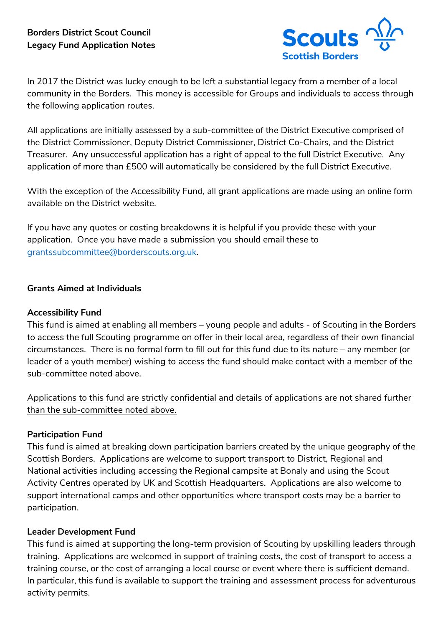

In 2017 the District was lucky enough to be left a substantial legacy from a member of a local community in the Borders. This money is accessible for Groups and individuals to access through the following application routes.

All applications are initially assessed by a sub-committee of the District Executive comprised of the District Commissioner, Deputy District Commissioner, District Co-Chairs, and the District Treasurer. Any unsuccessful application has a right of appeal to the full District Executive. Any application of more than £500 will automatically be considered by the full District Executive.

With the exception of the Accessibility Fund, all grant applications are made using an online form available on the District website.

If you have any quotes or costing breakdowns it is helpful if you provide these with your application. Once you have made a submission you should email these to grantssubcommittee@borderscouts.org.uk.

### **Grants Aimed at Individuals**

#### **Accessibility Fund**

This fund is aimed at enabling all members – young people and adults - of Scouting in the Borders to access the full Scouting programme on offer in their local area, regardless of their own financial circumstances. There is no formal form to fill out for this fund due to its nature – any member (or leader of a youth member) wishing to access the fund should make contact with a member of the sub-committee noted above.

Applications to this fund are strictly confidential and details of applications are not shared further than the sub-committee noted above.

# **Participation Fund**

This fund is aimed at breaking down participation barriers created by the unique geography of the Scottish Borders. Applications are welcome to support transport to District, Regional and National activities including accessing the Regional campsite at Bonaly and using the Scout Activity Centres operated by UK and Scottish Headquarters. Applications are also welcome to support international camps and other opportunities where transport costs may be a barrier to participation.

#### **Leader Development Fund**

This fund is aimed at supporting the long-term provision of Scouting by upskilling leaders through training. Applications are welcomed in support of training costs, the cost of transport to access a training course, or the cost of arranging a local course or event where there is sufficient demand. In particular, this fund is available to support the training and assessment process for adventurous activity permits.